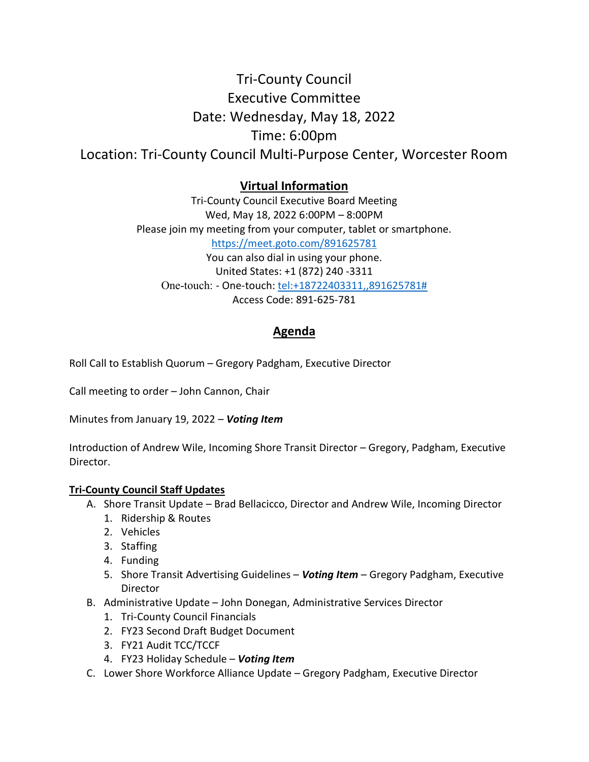## Tri-County Council Executive Committee Date: Wednesday, May 18, 2022 Time: 6:00pm Location: Tri-County Council Multi-Purpose Center, Worcester Room

## Virtual Information

Tri-County Council Executive Board Meeting Wed, May 18, 2022 6:00PM – 8:00PM Please join my meeting from your computer, tablet or smartphone. https://meet.goto.com/891625781 You can also dial in using your phone. United States: +1 (872) 240 -3311 One-touch: - One-touch: tel:+18722403311,,891625781# Access Code: 891-625-781

## Agenda

Roll Call to Establish Quorum – Gregory Padgham, Executive Director

Call meeting to order – John Cannon, Chair

Minutes from January 19, 2022 - Voting Item

Introduction of Andrew Wile, Incoming Shore Transit Director – Gregory, Padgham, Executive Director.

## Tri-County Council Staff Updates

- A. Shore Transit Update Brad Bellacicco, Director and Andrew Wile, Incoming Director
	- 1. Ridership & Routes
	- 2. Vehicles
	- 3. Staffing
	- 4. Funding
	- 5. Shore Transit Advertising Guidelines Voting Item Gregory Padgham, Executive **Director**
- B. Administrative Update John Donegan, Administrative Services Director
	- 1. Tri-County Council Financials
	- 2. FY23 Second Draft Budget Document
	- 3. FY21 Audit TCC/TCCF
	- 4. FY23 Holiday Schedule Voting Item
- C. Lower Shore Workforce Alliance Update Gregory Padgham, Executive Director